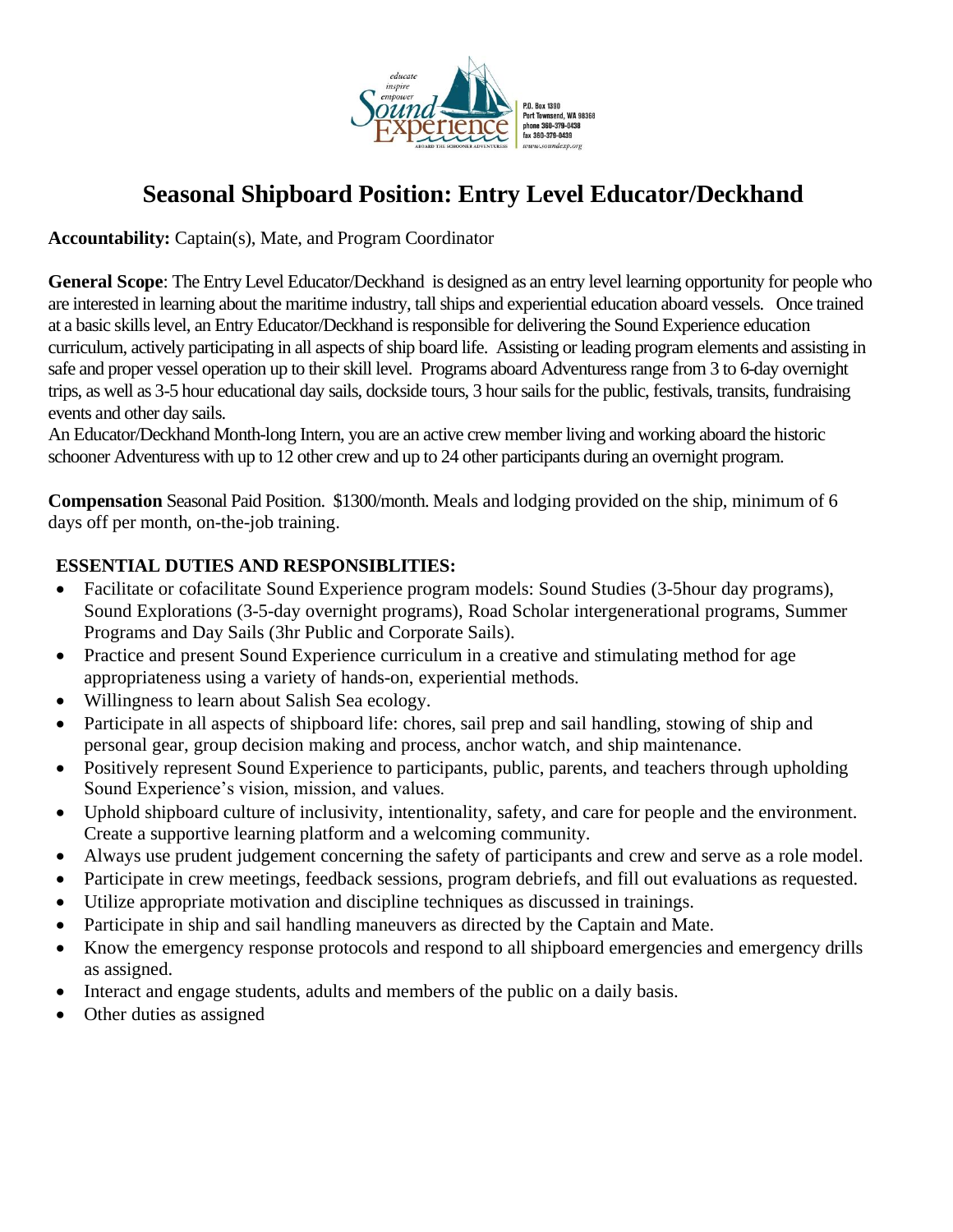

# **Seasonal Shipboard Position: Entry Level Educator/Deckhand**

**Accountability:** Captain(s), Mate, and Program Coordinator

**General Scope**: The Entry Level Educator/Deckhand is designed as an entry level learning opportunity for people who are interested in learning about the maritime industry, tall ships and experiential education aboard vessels. Once trained at a basic skills level, an Entry Educator/Deckhand is responsible for delivering the Sound Experience education curriculum, actively participating in all aspects of ship board life. Assisting or leading program elements and assisting in safe and proper vessel operation up to their skill level. Programs aboard Adventuress range from 3 to 6-day overnight trips, as well as 3-5 hour educational day sails, dockside tours, 3 hour sails for the public, festivals, transits, fundraising events and other day sails.

An Educator/Deckhand Month-long Intern, you are an active crew member living and working aboard the historic schooner Adventuress with up to 12 other crew and up to 24 other participants during an overnight program.

**Compensation** Seasonal Paid Position. \$1300/month. Meals and lodging provided on the ship, minimum of 6 days off per month, on-the-job training.

## **ESSENTIAL DUTIES AND RESPONSIBLITIES:**

- Facilitate or cofacilitate Sound Experience program models: Sound Studies (3-5 hour day programs), Sound Explorations (3-5-day overnight programs), Road Scholar intergenerational programs, Summer Programs and Day Sails (3hr Public and Corporate Sails).
- Practice and present Sound Experience curriculum in a creative and stimulating method for age appropriateness using a variety of hands-on, experiential methods.
- Willingness to learn about Salish Sea ecology.
- Participate in all aspects of shipboard life: chores, sail prep and sail handling, stowing of ship and personal gear, group decision making and process, anchor watch, and ship maintenance.
- Positively represent Sound Experience to participants, public, parents, and teachers through upholding Sound Experience's vision, mission, and values.
- Uphold shipboard culture of inclusivity, intentionality, safety, and care for people and the environment. Create a supportive learning platform and a welcoming community.
- Always use prudent judgement concerning the safety of participants and crew and serve as a role model.
- Participate in crew meetings, feedback sessions, program debriefs, and fill out evaluations as requested.
- Utilize appropriate motivation and discipline techniques as discussed in trainings.
- Participate in ship and sail handling maneuvers as directed by the Captain and Mate.
- Know the emergency response protocols and respond to all shipboard emergencies and emergency drills as assigned.
- Interact and engage students, adults and members of the public on a daily basis.
- Other duties as assigned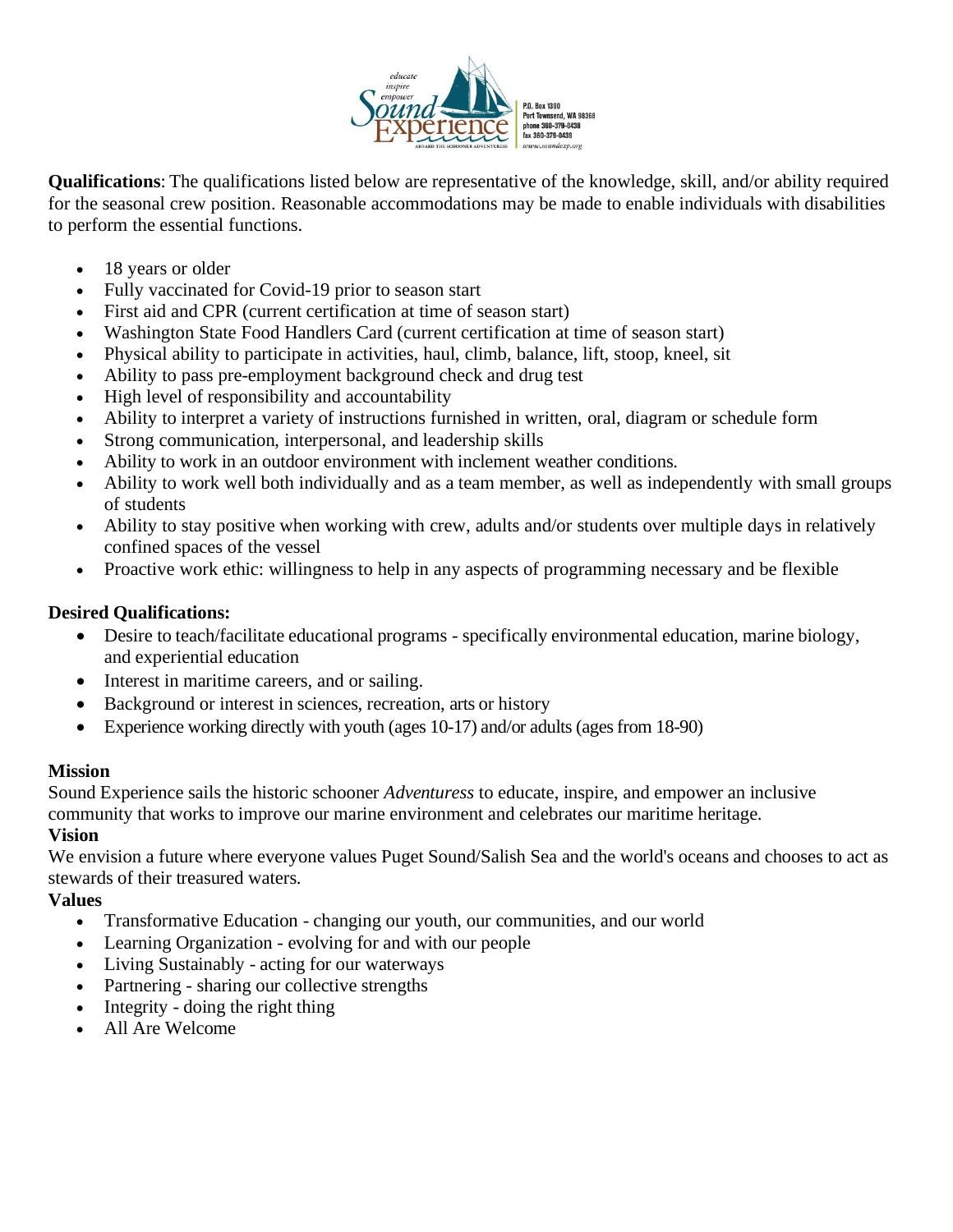

**Qualifications**: The qualifications listed below are representative of the knowledge, skill, and/or ability required for the seasonal crew position. Reasonable accommodations may be made to enable individuals with disabilities to perform the essential functions.

- 18 years or older
- Fully vaccinated for Covid-19 prior to season start
- First aid and CPR (current certification at time of season start)
- Washington State Food Handlers Card (current certification at time of season start)
- Physical ability to participate in activities, haul, climb, balance, lift, stoop, kneel, sit
- Ability to pass pre-employment background check and drug test
- High level of responsibility and accountability
- Ability to interpret a variety of instructions furnished in written, oral, diagram or schedule form
- Strong communication, interpersonal, and leadership skills
- Ability to work in an outdoor environment with inclement weather conditions.
- Ability to work well both individually and as a team member, as well as independently with small groups of students
- Ability to stay positive when working with crew, adults and/or students over multiple days in relatively confined spaces of the vessel
- Proactive work ethic: willingness to help in any aspects of programming necessary and be flexible

### **Desired Qualifications:**

- Desire to teach/facilitate educational programs specifically environmental education, marine biology, and experiential education
- Interest in maritime careers, and or sailing.
- Background or interest in sciences, recreation, arts or history
- Experience working directly with youth (ages 10-17) and/or adults (ages from 18-90)

#### **Mission**

Sound Experience sails the historic schooner *Adventuress* to educate, inspire, and empower an inclusive community that works to improve our marine environment and celebrates our maritime heritage.

#### **Vision**

We envision a future where everyone values Puget Sound/Salish Sea and the world's oceans and chooses to act as stewards of their treasured waters.

#### **Values**

- Transformative Education changing our youth, our communities, and our world
- Learning Organization evolving for and with our people
- Living Sustainably acting for our waterways
- Partnering sharing our collective strengths
- Integrity doing the right thing
- All Are Welcome